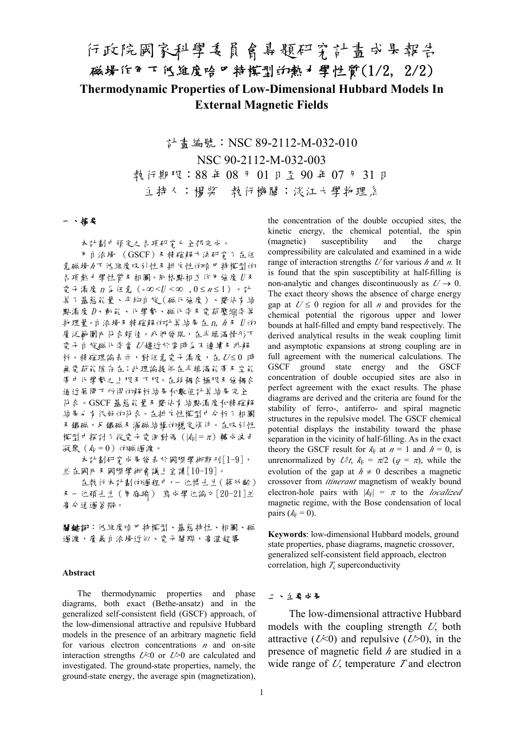# 行政院國家科學委員會專題研究計畫成果報告 磁場作用下低維度哈巴特模型的熱力學性質(1/2, 2/2) **Thermodynamic Properties of Low-Dimensional Hubbard Models In External Magnetic Fields**

計書編號: NSC 89-2112-M-032-010 NSC 90-2112-M-032-003 執行期限:88 年 08 月 01 日至 90 年 07 月 31 日 主持人:楊棨 執行機關:淡江大學物理系

#### 一、摘要

本計劃中預定之各項研究已全部完成。

用自洽場 (GSCF)及精確解方法研究了在任 意磁場*h*下低維度吸引性及排斥性的哈巴特模型的 各項熱力學性質及相圖。同格點相互作用強度 U 及 電子濃度 n \$ 任意 (-∞< $U$ <∞, 0≤n≤1)。計 算了基態能量、平均自旋(磁化強度)、雙佔有結 點濃度 D、動能、化學勢、磁化率及電荷壓縮率等 物理量。自洽場及精確解的計算結果在 n, *<sup>h</sup>* 及 U 的 廣泛範圍亦符合頗佳。我們發現,在半填滿情形下 電子自旋磁化率當 *<sup>U</sup>* 趨近於零時為不連續及非解 析。精確理論表示,對任意電子濃度,在 *U*≤0 時 無電荷能隙存在;此理論提供在半填滿能帶及空能 帶中化學勢之上限及下限。在弱耦合極限及強耦合 通近展開下所得的解析結果和數值計算結果完全 符合。GSCF 基態能量及雙佔有結點濃度和精確解 結果也有很好的符合。在排斥性模型中分析了相圖 及鐵磁,反鐵磁及渦磁結構的穩定條件。在吸引性 模型中探討了從電子電洞對偶(|*k*F| = *<sup>p</sup>*)轉成波色 凝聚 $(k_F = 0)$  的磁過渡。

本計劃研究成果發表於國際學術期刊[1-9], 並在國內及國際學術會議上宣讀[10-19]。

在執行本計劃的過程中,一位博士生(蔣幼齡) 及一位碩士生(周庭瑜) 寫成學位論文[20-21]並 高分通過答辯。

關鍵詞:低維度哈巴特模型、基態特性、相圖、磁 過渡,廣義自洽場近似、電子關聯,高溫超導

#### **Abstract**

The thermodynamic properties and phase diagrams, both exact (Bethe-ansatz) and in the generalized self-consistent field (GSCF) approach, of the low-dimensional attractive and repulsive Hubbard models in the presence of an arbitrary magnetic field for various electron concentrations *n* and on-site interaction strengths *U*<0 or *U*>0 are calculated and investigated. The ground-state properties, namely, the ground-state energy, the average spin (magnetization),

the concentration of the double occupied sites, the kinetic energy, the chemical potential, the spin (magnetic) susceptibility and the charge compressibility are calculated and examined in a wide range of interaction strengths *U* for various *h* and *n.* It is found that the spin susceptibility at half-filling is non-analytic and changes discontinuously as  $U \rightarrow 0$ . The exact theory shows the absence of charge energy gap at  $U \le 0$  region for all *n* and provides for the chemical potential the rigorous upper and lower bounds at half-filled and empty band respectively. The derived analytical results in the weak coupling limit and asymptotic expansions at strong coupling are in full agreement with the numerical calculations. The GSCF ground state energy and the GSCF concentration of double occupied sites are also in perfect agreement with the exact results. The phase diagrams are derived and the criteria are found for the stability of ferro-, antiferro- and spiral magnetic structures in the repulsive model. The GSCF chemical potential displays the instability toward the phase separation in the vicinity of half-filling. As in the exact theory the GSCF result for  $k_F$  at  $n = 1$  and  $h = 0$ , is unrenormalized by  $U/t$ ,  $k_F = \pi/2$  ( $q = \pi$ ), while the evolution of the gap at  $h \neq 0$  describes a magnetic crossover from *itinerant* magnetism of weakly bound electron-hole pairs with  $|k_F| = \pi$  to the *localized* magnetic regime, with the Bose condensation of local pairs  $(k_F = 0)$ .

**Keywords**: low-dimensional Hubbard models, ground state properties, phase diagrams, magnetic crossover, generalized self-consistent field approach, electron correlation, high  $T_c$  superconductivity

## 二、主要成果

The low-dimensional attractive Hubbard models with the coupling strength *U*, both attractive  $(U<0)$  and repulsive  $(U>0)$ , in the presence of magnetic field *h* are studied in a wide range of *U*, temperature *T* and electron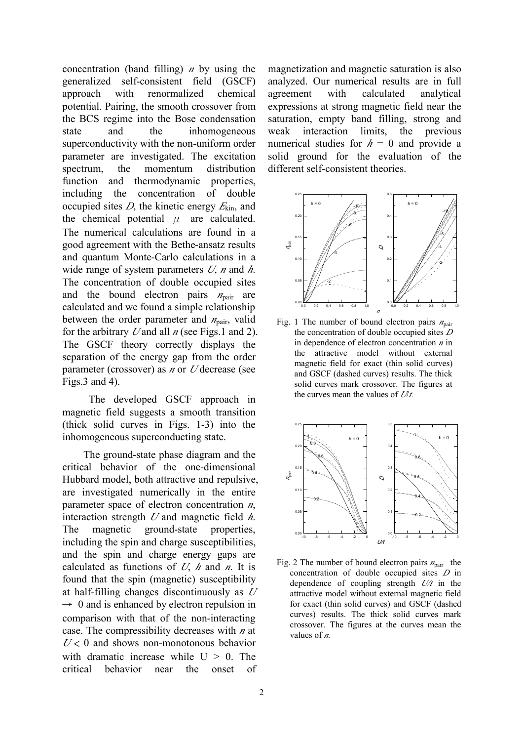concentration (band filling) *n* by using the generalized self-consistent field (GSCF) approach with renormalized chemical potential. Pairing, the smooth crossover from the BCS regime into the Bose condensation state and the inhomogeneous superconductivity with the non-uniform order parameter are investigated. The excitation spectrum, the momentum distribution function and thermodynamic properties, including the concentration of double occupied sites *D*, the kinetic energy *<sup>E</sup>*kin, and the chemical potential  $\mu$  are calculated. The numerical calculations are found in a good agreement with the Bethe-ansatz results and quantum Monte-Carlo calculations in a wide range of system parameters *U*, *n* and *h*. The concentration of double occupied sites and the bound electron pairs  $n_{\text{pair}}$  are calculated and we found a simple relationship between the order parameter and  $n_{\text{pair}}$ , valid for the arbitrary *U* and all *n* (see Figs.1 and 2). The GSCF theory correctly displays the separation of the energy gap from the order parameter (crossover) as *n* or *U* decrease (see Figs.3 and 4).

 The developed GSCF approach in magnetic field suggests a smooth transition (thick solid curves in Figs. 1-3) into the inhomogeneous superconducting state.

The ground-state phase diagram and the critical behavior of the one-dimensional Hubbard model, both attractive and repulsive, are investigated numerically in the entire parameter space of electron concentration *n*, interaction strength *U* and magnetic field *h*. The magnetic ground-state properties, including the spin and charge susceptibilities, and the spin and charge energy gaps are calculated as functions of *U*, *h* and *n*. It is found that the spin (magnetic) susceptibility at half-filling changes discontinuously as *<sup>U</sup>*  $\rightarrow$  0 and is enhanced by electron repulsion in comparison with that of the non-interacting case. The compressibility decreases with *n* at  $U$  < 0 and shows non-monotonous behavior with dramatic increase while  $U > 0$ . The critical behavior near the onset of magnetization and magnetic saturation is also analyzed. Our numerical results are in full agreement with calculated analytical expressions at strong magnetic field near the saturation, empty band filling, strong and weak interaction limits, the previous numerical studies for  $h = 0$  and provide a solid ground for the evaluation of the different self-consistent theories.



Fig. 1 The number of bound electron pairs  $n_{\text{pair}}$ the concentration of double occupied sites *<sup>D</sup>* in dependence of electron concentration *n* in the attractive model without external magnetic field for exact (thin solid curves) and GSCF (dashed curves) results. The thick solid curves mark crossover. The figures at the curves mean the values of *U*/*t.*



Fig. 2 The number of bound electron pairs  $n_{\text{pair}}$  the concentration of double occupied sites *D* in dependence of coupling strength *U/t* in the attractive model without external magnetic field for exact (thin solid curves) and GSCF (dashed curves) results. The thick solid curves mark crossover. The figures at the curves mean the values of *n.*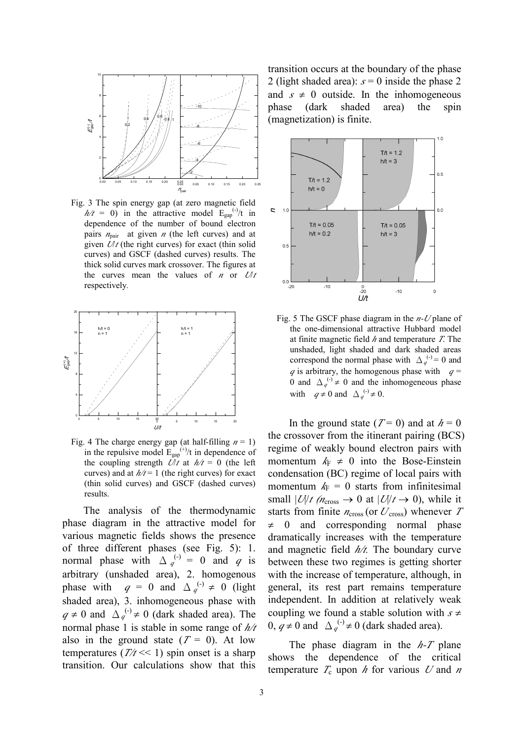

Fig. 3 The spin energy gap (at zero magnetic field  $h/t = 0$ ) in the attractive model  $E_{\text{gap}}^{(-)}/t$  in dependence of the number of bound electron pairs  $n_{\text{pair}}$  at given *n* (the left curves) and at given  $U/t$  (the right curves) for exact (thin solid curves) and GSCF (dashed curves) results. The thick solid curves mark crossover. The figures at the curves mean the values of *n* or  $U/t$ respectively*.*



Fig. 4 The charge energy gap (at half-filling  $n = 1$ ) in the repulsive model  $E_{\text{gap}}^{(+)}$  in dependence of the coupling strength  $U/t$  at  $h/t = 0$  (the left curves) and at  $h/t = 1$  (the right curves) for exact (thin solid curves) and GSCF (dashed curves) results.

The analysis of the thermodynamic phase diagram in the attractive model for various magnetic fields shows the presence of three different phases (see Fig. 5): 1. normal phase with  $\Delta q^{(-)} = 0$  and *q* is arbitrary (unshaded area), 2. homogenous phase with  $q = 0$  and  $\Delta_q^{(\cdot)} \neq 0$  (light shaded area), 3. inhomogeneous phase with  $q \neq 0$  and  $\Delta_q^{(-)} \neq 0$  (dark shaded area). The normal phase 1 is stable in some range of *h/t*  also in the ground state  $(T = 0)$ . At low temperatures  $(T/t \ll 1)$  spin onset is a sharp transition. Our calculations show that this

transition occurs at the boundary of the phase 2 (light shaded area):  $s = 0$  inside the phase 2 and  $s \neq 0$  outside. In the inhomogeneous phase (dark shaded area) the spin (magnetization) is finite.



Fig. 5 The GSCF phase diagram in the *n-U* plane of the one-dimensional attractive Hubbard model at finite magnetic field *h* and temperature *T*. The unshaded, light shaded and dark shaded areas correspond the normal phase with  $\Delta_q^{(\cdot)} = 0$  and  $q$  is arbitrary, the homogenous phase with  $q =$ 0 and  $\Delta_q^{(\cdot)} \neq 0$  and the inhomogeneous phase with  $q \neq 0$  and  $\Delta_q^{(-)} \neq 0$ .

In the ground state  $(T=0)$  and at  $h=0$ the crossover from the itinerant pairing (BCS) regime of weakly bound electron pairs with momentum  $k_F \neq 0$  into the Bose-Einstein condensation (BC) regime of local pairs with momentum  $k_F = 0$  starts from infinitesimal small  $|U/t$  (*n*<sub>cross</sub>  $\rightarrow$  0 at  $|U/t \rightarrow 0$ ), while it starts from finite  $n_{\text{cross}}$  (or  $U_{\text{cross}}$ ) whenever  $T$  $\neq$  0 and corresponding normal phase dramatically increases with the temperature and magnetic field *h/t.* The boundary curve between these two regimes is getting shorter with the increase of temperature, although, in general, its rest part remains temperature independent. In addition at relatively weak coupling we found a stable solution with  $s \neq$  $0, q \neq 0$  and  $\Delta_q^{(-)} \neq 0$  (dark shaded area).

The phase diagram in the *h-T* plane shows the dependence of the critical temperature  $T_c$  upon  $h$  for various  $U$  and  $n$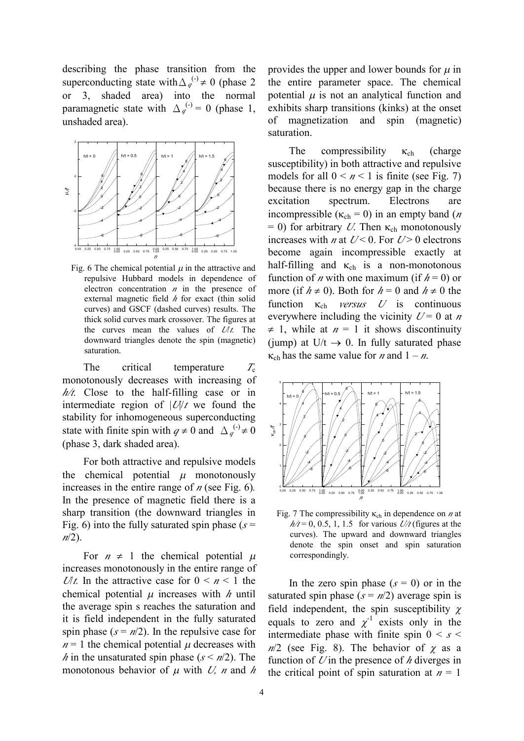describing the phase transition from the superconducting state with  $\Delta_q^{(-)} \neq 0$  (phase 2 or 3, shaded area) into the normal paramagnetic state with  $\Delta_q^{(-)} = 0$  (phase 1, unshaded area).



Fig. 6 The chemical potential  $\mu$  in the attractive and repulsive Hubbard models in dependence of electron concentration *n* in the presence of external magnetic field *h* for exact (thin solid curves) and GSCF (dashed curves) results. The thick solid curves mark crossover. The figures at the curves mean the values of *U*/*t.* The downward triangles denote the spin (magnetic) saturation.

The critical temperature *T*<sub>c</sub> monotonously decreases with increasing of *h/t.* Close to the half-filling case or in intermediate region of |*U*|/*t* we found the stability for inhomogeneous superconducting state with finite spin with  $q \neq 0$  and  $\Delta_q^{(-)} \neq 0$ (phase 3, dark shaded area).

For both attractive and repulsive models the chemical potential  $\mu$  monotonously increases in the entire range of *n* (see Fig. 6)*.*  In the presence of magnetic field there is a sharp transition (the downward triangles in Fig. 6) into the fully saturated spin phase  $(s =$ *<sup>n</sup>*/2).

For  $n \neq 1$  the chemical potential  $\mu$ increases monotonously in the entire range of *Ult.* In the attractive case for  $0 \le n \le 1$  the chemical potential  $\mu$  increases with  $\hbar$  until the average spin s reaches the saturation and it is field independent in the fully saturated spin phase  $(s = n/2)$ . In the repulsive case for  $n = 1$  the chemical potential  $\mu$  decreases with *h* in the unsaturated spin phase ( $s < n/2$ ). The monotonous behavior of  $\mu$  with *U, n* and *h* 

provides the upper and lower bounds for  $\mu$  in the entire parameter space. The chemical potential  $\mu$  is not an analytical function and exhibits sharp transitions (kinks) at the onset of magnetization and spin (magnetic) saturation.

The compressibility  $\kappa_{ch}$  (charge susceptibility) in both attractive and repulsive models for all  $0 \le n \le 1$  is finite (see Fig. 7) because there is no energy gap in the charge excitation spectrum. Electrons are incompressible ( $\kappa_{ch} = 0$ ) in an empty band (*n*  $= 0$ ) for arbitrary *U*. Then  $\kappa_{ch}$  monotonously increases with *n* at  $U < 0$ . For  $U > 0$  electrons become again incompressible exactly at half-filling and  $\kappa_{ch}$  is a non-monotonous function of *n* with one maximum (if  $h = 0$ ) or more (if  $h \neq 0$ ). Both for  $h = 0$  and  $h \neq 0$  the function  $\kappa_{ch}$  *versus U* is continuous everywhere including the vicinity  $U = 0$  at *n*  $\neq$  1, while at  $n = 1$  it shows discontinuity (jump) at  $U/t \rightarrow 0$ . In fully saturated phase  $k_{ch}$  has the same value for *n* and  $1 - n$ .



Fig. 7 The compressibility  $\kappa_{ch}$  in dependence on *n* at  $h/t = 0$ , 0.5, 1, 1.5 for various  $U/t$  (figures at the curves). The upward and downward triangles denote the spin onset and spin saturation correspondingly.

In the zero spin phase  $(s = 0)$  or in the saturated spin phase  $(s = n/2)$  average spin is field independent, the spin susceptibility  $\chi$ equals to zero and  $\chi^{-1}$  exists only in the intermediate phase with finite spin  $0 \leq s \leq$  $n/2$  (see Fig. 8). The behavior of  $\chi$  as a function of *U* in the presence of *h* diverges in the critical point of spin saturation at  $n = 1$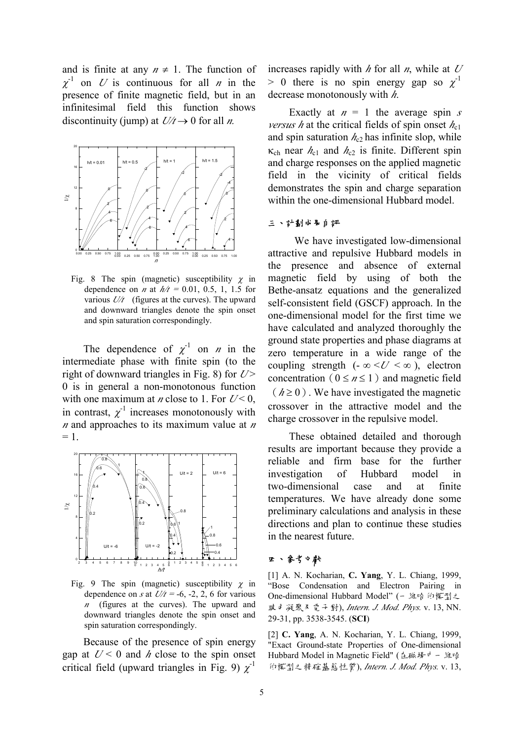and is finite at any  $n \neq 1$ . The function of  $\chi^{-1}$  on *U* is continuous for all *n* in the presence of finite magnetic field, but in an infinitesimal field this function shows discontinuity (jump) at  $U/t \rightarrow 0$  for all *n*.



Fig. 8 The spin (magnetic) susceptibility  $\gamma$  in dependence on *n* at  $h/t = 0.01, 0.5, 1, 1.5$  for various *U/t* (figures at the curves). The upward and downward triangles denote the spin onset and spin saturation correspondingly.

The dependence of  $\chi^{-1}$  on *n* in the intermediate phase with finite spin (to the right of downward triangles in Fig. 8) for  $U$ > 0 is in general a non-monotonous function with one maximum at *n* close to 1. For  $U < 0$ , in contrast,  $\chi^{-1}$  increases monotonously with *<sup>n</sup>* and approaches to its maximum value at *<sup>n</sup>*  $= 1.$ 



Fig. 9 The spin (magnetic) susceptibility  $\chi$  in dependence on *s* at  $U/t = -6, -2, 2, 6$  for various *<sup>n</sup>* (figures at the curves). The upward and downward triangles denote the spin onset and spin saturation correspondingly.

Because of the presence of spin energy gap at  $U < 0$  and *h* close to the spin onset critical field (upward triangles in Fig. 9)  $\chi$ <sup>1</sup>

increases rapidly with *h* for all *n*, while at *<sup>U</sup>*  $> 0$  there is no spin energy gap so  $\chi$ <sup>1</sup> decrease monotonously with *h*.

Exactly at  $n = 1$  the average spin *s versus h* at the critical fields of spin onset  $h_{c1}$ and spin saturation  $h_{c2}$  has infinite slop, while  $\kappa_{ch}$  near  $h_{c1}$  and  $h_{c2}$  is finite. Different spin and charge responses on the applied magnetic field in the vicinity of critical fields demonstrates the spin and charge separation within the one-dimensional Hubbard model.

### 三、計劃成果自評

 We have investigated low-dimensional attractive and repulsive Hubbard models in the presence and absence of external magnetic field by using of both the Bethe-ansatz equations and the generalized self-consistent field (GSCF) approach. In the one-dimensional model for the first time we have calculated and analyzed thoroughly the ground state properties and phase diagrams at zero temperature in a wide range of the coupling strength  $(-\infty < U < \infty)$ , electron concentration ( $0 \le n \le 1$ ) and magnetic field  $(h \ge 0)$ . We have investigated the magnetic crossover in the attractive model and the charge crossover in the repulsive model.

These obtained detailed and thorough results are important because they provide a reliable and firm base for the further investigation of Hubbard model in two-dimensional case and at finite temperatures. We have already done some preliminary calculations and analysis in these directions and plan to continue these studies in the nearest future.

## 四、參考文獻

[1] A. N. Kocharian, **C. Yang**, Y. L. Chiang, 1999, "Bose Condensation and Electron Pairing in One-dimensional Hubbard Model" (一維哈伯模型之 玻色凝聚及電子對), *Intern. J. Mod. Phys.* v. 13, NN. 29-31, pp. 3538-3545. (**SCI**)

[2] **C. Yang**, A. N. Kocharian, Y. L. Chiang, 1999, "Exact Ground-state Properties of One-dimensional Hubbard Model in Magnetic Field" (在磁場中一維哈 伯模型之精確基態性質), *Intern. J. Mod. Phys.* v. 13,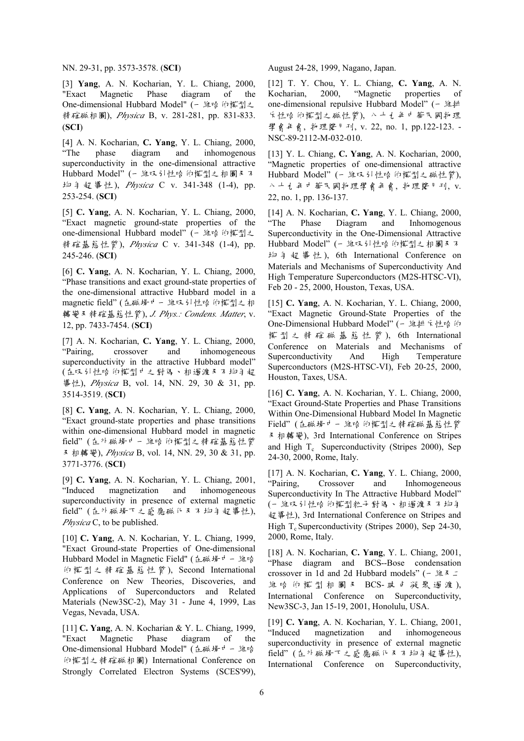NN. 29-31, pp. 3573-3578. (**SCI**)

[3] **Yang**, A. N. Kocharian, Y. L. Chiang, 2000, "Exact Magnetic Phase diagram of the One-dimensional Hubbard Model" (一維哈伯模型之 精確磁相圖), *Physica* B, v. 281-281, pp. 831-833. (**SCI**)

[4] A. N. Kocharian, **C. Yang**, Y. L. Chiang, 2000, phase diagram and inhomogenous superconductivity in the one-dimensional attractive Hubbard Model" (一維吸引性哈伯模型之相圖及不 均勻超導性), *Physica* C v. 341-348 (1-4), pp. 253-254. (**SCI**)

[5] **C. Yang**, A. N. Kocharian, Y. L. Chiang, 2000, "Exact magnetic ground-state properties of the one-dimensional Hubbard model" (一維哈伯模型之 精確基態性質), *Physica* C v. 341-348 (1-4), pp. 245-246. (**SCI**)

[6] **C. Yang**, A. N. Kocharian, Y. L. Chiang, 2000, "Phase transitions and exact ground-state properties of the one-dimensional attractive Hubbard model in a magnetic field" (在磁場中一維吸引性哈伯模型之相 轉變及精確基態性質), *J. Phys.: Condens. Matter*, v. 12, pp. 7433-7454. (**SCI**)

[7] A. N. Kocharian, **C. Yang**, Y. L. Chiang, 2000, "Pairing, crossover and inhomogeneous superconductivity in the attractive Hubbard model" (在吸引性哈伯模型中之對偶、相過渡及不均勻超 導性), *Physica* B, vol. 14, NN. 29, 30 & 31, pp. 3514-3519. (**SCI**)

[8] **C. Yang**, A. N. Kocharian, Y. L. Chiang, 2000, "Exact ground-state properties and phase transitions within one-dimensional Hubbard model in magnetic field" (在外磁場中一維哈伯模型之精確基態性質 及相轉變), *Physica* B, vol. 14, NN. 29, 30 & 31, pp. 3771-3776. (**SCI**)

[9] **C. Yang**, A. N. Kocharian, Y. L. Chiang, 2001, "Induced magnetization and inhomogeneous superconductivity in presence of external magnetic field" (在外磁場下之感應磁化及不均勻超導性), *Physica* C, to be published.

[10] **C. Yang**, A. N. Kocharian, Y. L. Chiang, 1999, "Exact Ground-state Properties of One-dimensional Hubbard Model in Magnetic Field" (在磁場中一維哈 伯模型之精確基態性質 ), Second International Conference on New Theories, Discoveries, and Applications of Superconductors and Related Materials (New3SC-2), May 31 - June 4, 1999, Las Vegas, Nevada, USA.

[11] **C. Yang**, A. N. Kocharian & Y. L. Chiang, 1999, "Exact Magnetic Phase diagram of the One-dimensional Hubbard Model" (在磁場中一維哈 伯模型之精確磁相圖) International Conference on Strongly Correlated Electron Systems (SCES'99), August 24-28, 1999, Nagano, Japan.

[12] T. Y. Chou, Y. L. Chiang, **C. Yang**, A. N. Kocharian, 2000, "Magnetic properties of one-dimensional repulsive Hubbard Model" (一維排 斥性哈伯模型之磁性質), 八十九年中華民國物理 學會年會, 物理雙月刊, v. 22, no. 1, pp.122-123. - NSC-89-2112-M-032-010.

[13] Y. L. Chiang, **C. Yang**, A. N. Kocharian, 2000, "Magnetic properties of one-dimensional attractive Hubbard Model" (一維吸引性哈伯模型之磁性質), 八十九年中華民國物理學會年會, 物理雙月刊, v. 22, no. 1, pp. 136-137.

[14] A. N. Kocharian, **C. Yang**, Y. L. Chiang, 2000, "The Phase Diagram and Inhomogenous Superconductivity in the One-Dimensional Attractive Hubbard Model" (一維吸引性哈伯模型之相圖及不 均勻超導性 ), 6th International Conference on Materials and Mechanisms of Superconductivity And High Temperature Superconductors (M2S-HTSC-VI), Feb 20 - 25, 2000, Houston, Texas, USA.

[15] **C. Yang**, A. N. Kocharian, Y. L. Chiang, 2000, "Exact Magnetic Ground-State Properties of the One-Dimensional Hubbard Model" (- 維排斥性哈伯 模型之精確磁基態性質 ), 6th International Conference on Materials and Mechanisms of Superconductivity And High Temperature Superconductors (M2S-HTSC-VI), Feb 20-25, 2000, Houston, Taxes, USA.

[16] **C. Yang**, A. N. Kocharian, Y. L. Chiang, 2000, "Exact Ground-State Properties and Phase Transitions Within One-Dimensional Hubbard Model In Magnetic Field" (在磁場中一維哈伯模型之精確磁基態性質 及相轉變), 3rd International Conference on Stripes and High  $T_c$  Superconductivity (Stripes 2000), Sep 24-30, 2000, Rome, Italy.

[17] A. N. Kocharian, **C. Yang**, Y. L. Chiang, 2000, "Pairing, Crossover and Inhomogeneous Superconductivity In The Attractive Hubbard Model" (一維吸引性哈伯模型粒子對偶、相過渡及不均勻 超導性), 3rd International Conference on Stripes and High  $T_c$  Superconductivity (Stripes 2000), Sep 24-30, 2000, Rome, Italy.

[18] A. N. Kocharian, **C. Yang**, Y. L. Chiang, 2001, "Phase diagram and BCS--Bose condensation crossover in 1d and 2d Hubbard models" ( $\angle$ # $\angle$  $\angle$ 維哈伯模型相圖及 BCS- 玻色凝聚過渡), International Conference on Superconductivity, New3SC-3, Jan 15-19, 2001, Honolulu, USA.

[19] **C. Yang**, A. N. Kocharian, Y. L. Chiang, 2001, "Induced magnetization and inhomogeneous superconductivity in presence of external magnetic field" (在外磁場下之感應磁化及不均勻超導性), International Conference on Superconductivity,